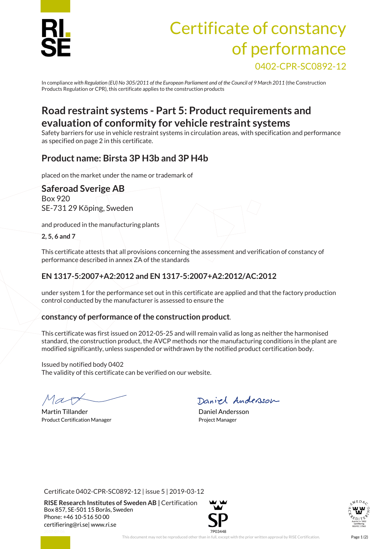

# Certificate of constancy of performance 0402-CPR-SC0892-12

In compliance *with Regulation (EU) No 305/2011 of the European Parliament and of the Council of 9 March 2011* (the Construction Products Regulation or CPR), this certificate applies to the construction products

## **Road restraint systems - Part 5: Product requirements and evaluation of conformity for vehicle restraint systems**

Safety barriers for use in vehicle restraint systems in circulation areas, with specification and performance as specified on page 2 in this certificate.

### **Product name: Birsta 3P H3b and 3P H4b**

placed on the market under the name or trademark of

### **Saferoad Sverige AB**

Box 920 SE-731 29 Köping, Sweden

and produced in the manufacturing plants

**2, 5, 6 and 7**

This certificate attests that all provisions concerning the assessment and verification of constancy of performance described in annex ZA of the standards

### **EN 1317-5:2007+A2:2012 and EN 1317-5:2007+A2:2012/AC:2012**

under system 1 for the performance set out in this certificate are applied and that the factory production control conducted by the manufacturer is assessed to ensure the

### **constancy of performance of the construction product**.

This certificate was first issued on 2012-05-25 and will remain valid as long as neither the harmonised standard, the construction product, the AVCP methods nor the manufacturing conditions in the plant are modified significantly, unless suspended or withdrawn by the notified product certification body.

Issued by notified body 0402 The validity of this certificate can be verified on our website.

Martin Tillander **Daniel Andersson** Product Certification Manager **Project Manager** Project Manager

Daniel Andersson

Certificate 0402-CPR-SC0892-12 | issue 5 | 2019-03-12

**RISE Research Institutes of Sweden AB |** Certification Box 857, SE-501 15 Borås, Sweden Phone: +46 10-516 50 00 [certifiering@ri.se|](mailto:certifiering@ri.se) www.ri.se